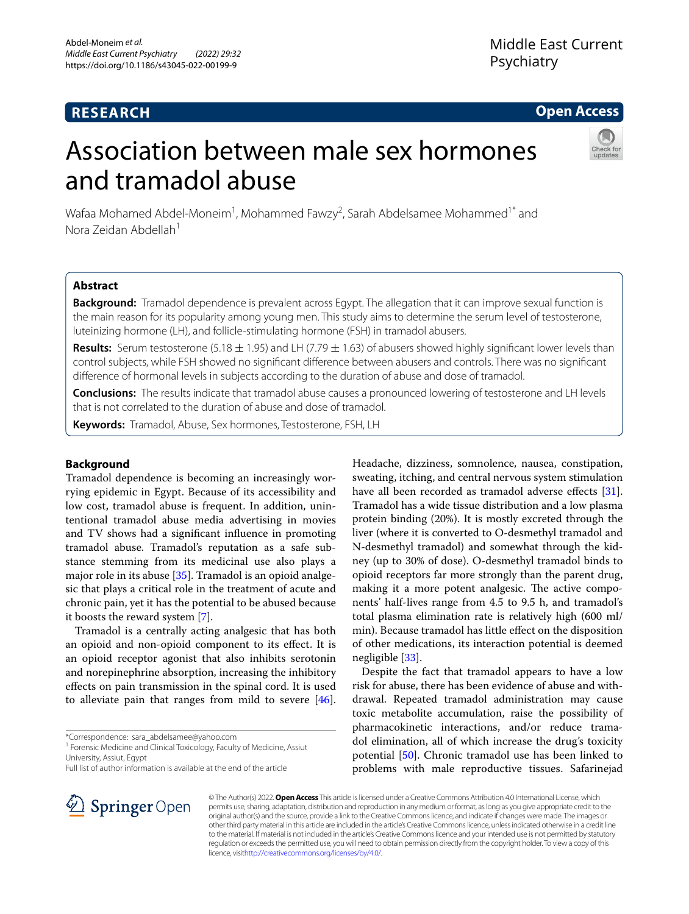# **RESEARCH**

# **Open Access**

# Association between male sex hormones and tramadol abuse



Wafaa Mohamed Abdel-Moneim<sup>1</sup>, Mohammed Fawzy<sup>2</sup>, Sarah Abdelsamee Mohammed<sup>1\*</sup> and Nora Zeidan Abdellah1

# **Abstract**

**Background:** Tramadol dependence is prevalent across Egypt. The allegation that it can improve sexual function is the main reason for its popularity among young men. This study aims to determine the serum level of testosterone, luteinizing hormone (LH), and follicle-stimulating hormone (FSH) in tramadol abusers.

**Results:** Serum testosterone (5.18 ± 1.95) and LH (7.79 ± 1.63) of abusers showed highly signifcant lower levels than control subjects, while FSH showed no signifcant diference between abusers and controls. There was no signifcant diference of hormonal levels in subjects according to the duration of abuse and dose of tramadol.

**Conclusions:** The results indicate that tramadol abuse causes a pronounced lowering of testosterone and LH levels that is not correlated to the duration of abuse and dose of tramadol.

**Keywords:** Tramadol, Abuse, Sex hormones, Testosterone, FSH, LH

# **Background**

Tramadol dependence is becoming an increasingly worrying epidemic in Egypt. Because of its accessibility and low cost, tramadol abuse is frequent. In addition, unintentional tramadol abuse media advertising in movies and TV shows had a signifcant infuence in promoting tramadol abuse. Tramadol's reputation as a safe substance stemming from its medicinal use also plays a major role in its abuse [\[35\]](#page-7-0). Tramadol is an opioid analgesic that plays a critical role in the treatment of acute and chronic pain, yet it has the potential to be abused because it boosts the reward system [[7\]](#page-6-0).

Tramadol is a centrally acting analgesic that has both an opioid and non-opioid component to its efect. It is an opioid receptor agonist that also inhibits serotonin and norepinephrine absorption, increasing the inhibitory efects on pain transmission in the spinal cord. It is used to alleviate pain that ranges from mild to severe [\[46](#page-7-1)].

\*Correspondence: sara\_abdelsamee@yahoo.com

<sup>1</sup> Forensic Medicine and Clinical Toxicology, Faculty of Medicine, Assiut University, Assiut, Egypt

sweating, itching, and central nervous system stimulation have all been recorded as tramadol adverse effects [\[31](#page-7-2)]. Tramadol has a wide tissue distribution and a low plasma protein binding (20%). It is mostly excreted through the liver (where it is converted to O-desmethyl tramadol and N-desmethyl tramadol) and somewhat through the kidney (up to 30% of dose). O-desmethyl tramadol binds to opioid receptors far more strongly than the parent drug, making it a more potent analgesic. The active components' half-lives range from 4.5 to 9.5 h, and tramadol's total plasma elimination rate is relatively high (600 ml/ min). Because tramadol has little efect on the disposition of other medications, its interaction potential is deemed negligible [[33\]](#page-7-3).

Headache, dizziness, somnolence, nausea, constipation,

Despite the fact that tramadol appears to have a low risk for abuse, there has been evidence of abuse and withdrawal. Repeated tramadol administration may cause toxic metabolite accumulation, raise the possibility of pharmacokinetic interactions, and/or reduce tramadol elimination, all of which increase the drug's toxicity potential [[50\]](#page-7-4). Chronic tramadol use has been linked to problems with male reproductive tissues. Safarinejad



© The Author(s) 2022. **Open Access** This article is licensed under a Creative Commons Attribution 4.0 International License, which permits use, sharing, adaptation, distribution and reproduction in any medium or format, as long as you give appropriate credit to the original author(s) and the source, provide a link to the Creative Commons licence, and indicate if changes were made. The images or other third party material in this article are included in the article's Creative Commons licence, unless indicated otherwise in a credit line to the material. If material is not included in the article's Creative Commons licence and your intended use is not permitted by statutory regulation or exceeds the permitted use, you will need to obtain permission directly from the copyright holder. To view a copy of this licence, visi[thttp://creativecommons.org/licenses/by/4.0/](http://creativecommons.org/licenses/by/4.0/).

Full list of author information is available at the end of the article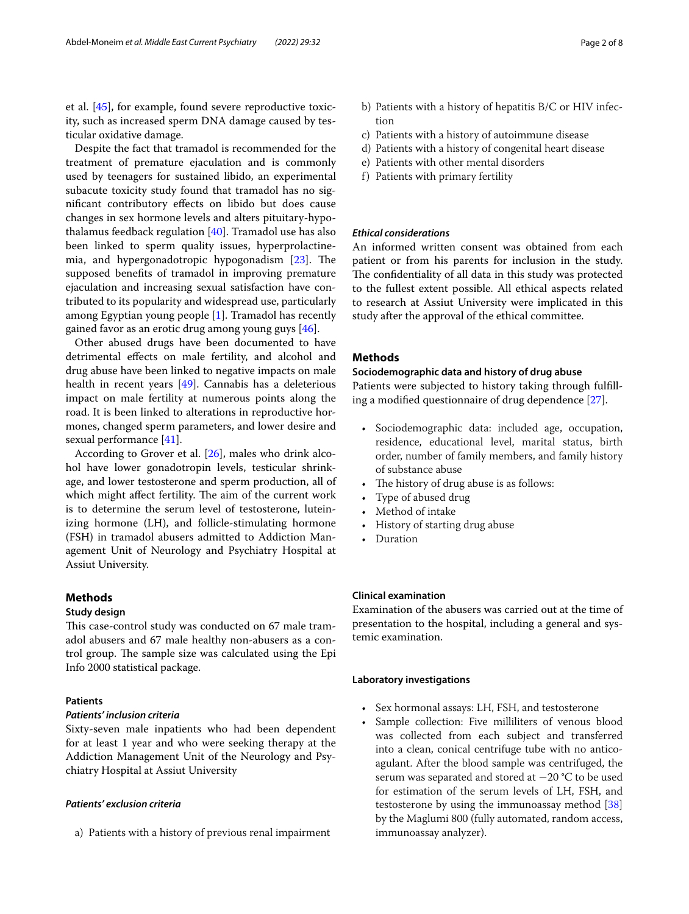et al. [\[45\]](#page-7-5), for example, found severe reproductive toxicity, such as increased sperm DNA damage caused by testicular oxidative damage.

Despite the fact that tramadol is recommended for the treatment of premature ejaculation and is commonly used by teenagers for sustained libido, an experimental subacute toxicity study found that tramadol has no signifcant contributory efects on libido but does cause changes in sex hormone levels and alters pituitary-hypothalamus feedback regulation [[40](#page-7-6)]. Tramadol use has also been linked to sperm quality issues, hyperprolactine-mia, and hypergonadotropic hypogonadism [\[23](#page-7-7)]. The supposed benefts of tramadol in improving premature ejaculation and increasing sexual satisfaction have contributed to its popularity and widespread use, particularly among Egyptian young people [\[1](#page-6-1)]. Tramadol has recently gained favor as an erotic drug among young guys [\[46](#page-7-1)].

Other abused drugs have been documented to have detrimental efects on male fertility, and alcohol and drug abuse have been linked to negative impacts on male health in recent years [[49\]](#page-7-8). Cannabis has a deleterious impact on male fertility at numerous points along the road. It is been linked to alterations in reproductive hormones, changed sperm parameters, and lower desire and sexual performance [\[41](#page-7-9)].

According to Grover et al. [[26\]](#page-7-10), males who drink alcohol have lower gonadotropin levels, testicular shrinkage, and lower testosterone and sperm production, all of which might affect fertility. The aim of the current work is to determine the serum level of testosterone, luteinizing hormone (LH), and follicle-stimulating hormone (FSH) in tramadol abusers admitted to Addiction Management Unit of Neurology and Psychiatry Hospital at Assiut University.

# **Methods**

## **Study design**

This case-control study was conducted on 67 male tramadol abusers and 67 male healthy non-abusers as a control group. The sample size was calculated using the Epi Info 2000 statistical package.

# **Patients**

## *Patients' inclusion criteria*

Sixty-seven male inpatients who had been dependent for at least 1 year and who were seeking therapy at the Addiction Management Unit of the Neurology and Psychiatry Hospital at Assiut University

## *Patients' exclusion criteria*

a) Patients with a history of previous renal impairment

- b) Patients with a history of hepatitis B/C or HIV infection
- c) Patients with a history of autoimmune disease
- d) Patients with a history of congenital heart disease
- e) Patients with other mental disorders
- f) Patients with primary fertility

# *Ethical considerations*

An informed written consent was obtained from each patient or from his parents for inclusion in the study. The confidentiality of all data in this study was protected to the fullest extent possible. All ethical aspects related to research at Assiut University were implicated in this study after the approval of the ethical committee.

# **Methods**

# **Sociodemographic data and history of drug abuse**

Patients were subjected to history taking through fulflling a modifed questionnaire of drug dependence [\[27](#page-7-11)].

- Sociodemographic data: included age, occupation, residence, educational level, marital status, birth order, number of family members, and family history of substance abuse
- The history of drug abuse is as follows:
- Type of abused drug
- Method of intake
- History of starting drug abuse
- Duration

# **Clinical examination**

Examination of the abusers was carried out at the time of presentation to the hospital, including a general and systemic examination.

# **Laboratory investigations**

- Sex hormonal assays: LH, FSH, and testosterone
- Sample collection: Five milliliters of venous blood was collected from each subject and transferred into a clean, conical centrifuge tube with no anticoagulant. After the blood sample was centrifuged, the serum was separated and stored at -20 °C to be used for estimation of the serum levels of LH, FSH, and testosterone by using the immunoassay method [[38](#page-7-12)] by the Maglumi 800 (fully automated, random access, immunoassay analyzer).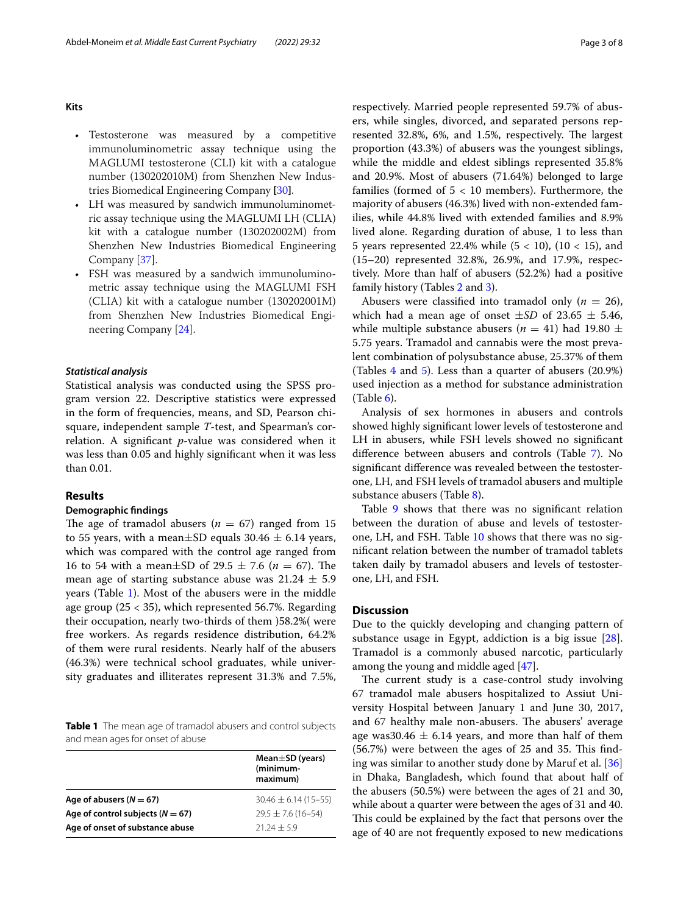**Kits**

- Testosterone was measured by a competitive immunoluminometric assay technique using the MAGLUMI testosterone (CLI) kit with a catalogue number (130202010M) from Shenzhen New Industries Biomedical Engineering Company **[**[30](#page-7-13)**]**.
- LH was measured by sandwich immunoluminometric assay technique using the MAGLUMI LH (CLIA) kit with a catalogue number (130202002M) from Shenzhen New Industries Biomedical Engineering Company [\[37\]](#page-7-14).
- FSH was measured by a sandwich immunoluminometric assay technique using the MAGLUMI FSH (CLIA) kit with a catalogue number (130202001M) from Shenzhen New Industries Biomedical Engineering Company [\[24\]](#page-7-15).

## *Statistical analysis*

Statistical analysis was conducted using the SPSS program version 22. Descriptive statistics were expressed in the form of frequencies, means, and SD, Pearson chisquare, independent sample *T*-test, and Spearman's correlation. A signifcant *p*-value was considered when it was less than 0.05 and highly signifcant when it was less than 0.01.

# **Results**

## **Demographic fndings**

The age of tramadol abusers ( $n = 67$ ) ranged from 15 to 55 years, with a mean $\pm$ SD equals 30.46  $\pm$  6.14 years, which was compared with the control age ranged from 16 to 54 with a mean $\pm$ SD of 29.5  $\pm$  7.6 (*n* = 67). The mean age of starting substance abuse was  $21.24 \pm 5.9$ years (Table [1](#page-2-0)). Most of the abusers were in the middle age group (25 < 35), which represented 56.7%. Regarding their occupation, nearly two-thirds of them )58.2%( were free workers. As regards residence distribution, 64.2% of them were rural residents. Nearly half of the abusers (46.3%) were technical school graduates, while university graduates and illiterates represent 31.3% and 7.5%,

<span id="page-2-0"></span>**Table 1** The mean age of tramadol abusers and control subjects and mean ages for onset of abuse

|                                      | Mean $\pm$ SD (years)<br>(minimum-<br>maximum) |  |  |
|--------------------------------------|------------------------------------------------|--|--|
| Age of abusers $(N = 67)$            | $30.46 \pm 6.14(15 - 55)$                      |  |  |
| Age of control subjects ( $N = 67$ ) | $29.5 \pm 7.6$ (16-54)                         |  |  |
| Age of onset of substance abuse      | $2124 + 59$                                    |  |  |

respectively. Married people represented 59.7% of abusers, while singles, divorced, and separated persons represented 32.8%, 6%, and 1.5%, respectively. The largest proportion (43.3%) of abusers was the youngest siblings, while the middle and eldest siblings represented 35.8% and 20.9%. Most of abusers (71.64%) belonged to large families (formed of  $5 < 10$  members). Furthermore, the majority of abusers (46.3%) lived with non-extended families, while 44.8% lived with extended families and 8.9% lived alone. Regarding duration of abuse, 1 to less than 5 years represented 22.4% while  $(5 < 10)$ ,  $(10 < 15)$ , and (15–20) represented 32.8%, 26.9%, and 17.9%, respectively. More than half of abusers (52.2%) had a positive family history (Tables [2](#page-3-0) and [3\)](#page-3-1).

Abusers were classified into tramadol only  $(n = 26)$ , which had a mean age of onset  $\pm SD$  of 23.65  $\pm$  5.46, while multiple substance abusers ( $n = 41$ ) had 19.80  $\pm$ 5.75 years. Tramadol and cannabis were the most prevalent combination of polysubstance abuse, 25.37% of them (Tables [4](#page-3-2) and [5](#page-3-3)). Less than a quarter of abusers (20.9%) used injection as a method for substance administration  $(Table 6)$  $(Table 6)$ .

Analysis of sex hormones in abusers and controls showed highly signifcant lower levels of testosterone and LH in abusers, while FSH levels showed no signifcant diference between abusers and controls (Table [7](#page-4-0)). No signifcant diference was revealed between the testosterone, LH, and FSH levels of tramadol abusers and multiple substance abusers (Table [8](#page-4-1)).

Table [9](#page-4-2) shows that there was no significant relation between the duration of abuse and levels of testosterone, LH, and FSH. Table [10](#page-4-3) shows that there was no signifcant relation between the number of tramadol tablets taken daily by tramadol abusers and levels of testosterone, LH, and FSH.

# **Discussion**

Due to the quickly developing and changing pattern of substance usage in Egypt, addiction is a big issue [\[28](#page-7-16)]. Tramadol is a commonly abused narcotic, particularly among the young and middle aged [[47](#page-7-17)].

The current study is a case-control study involving 67 tramadol male abusers hospitalized to Assiut University Hospital between January 1 and June 30, 2017, and 67 healthy male non-abusers. The abusers' average age was 30.46  $\pm$  6.14 years, and more than half of them (56.7%) were between the ages of 25 and 35. This finding was similar to another study done by Maruf et al. [[36](#page-7-18)] in Dhaka, Bangladesh, which found that about half of the abusers (50.5%) were between the ages of 21 and 30, while about a quarter were between the ages of 31 and 40. This could be explained by the fact that persons over the age of 40 are not frequently exposed to new medications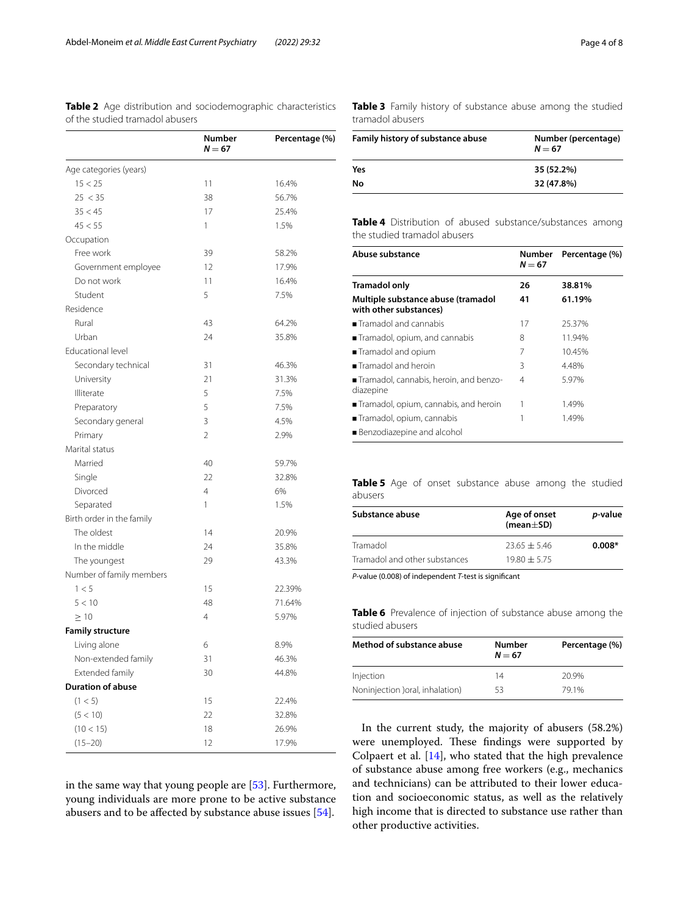<span id="page-3-0"></span>**Table 2** Age distribution and sociodemographic characteristics of the studied tramadol abusers

|                           | Number<br>$N = 67$ | Percentage (%) |
|---------------------------|--------------------|----------------|
| Age categories (years)    |                    |                |
| 15 < 25                   | 11                 | 16.4%          |
| 25 < 35                   | 38                 | 56.7%          |
| 35 < 45                   | 17                 | 25.4%          |
| 45 < 55                   | 1                  | 1.5%           |
| Occupation                |                    |                |
| Free work                 | 39                 | 58.2%          |
| Government employee       | 12                 | 17.9%          |
| Do not work               | 11                 | 16.4%          |
| Student                   | 5                  | 7.5%           |
| Residence                 |                    |                |
| Rural                     | 43                 | 64.2%          |
| Urban                     | 24                 | 35.8%          |
| Educational level         |                    |                |
| Secondary technical       | 31                 | 46.3%          |
| University                | 21                 | 31.3%          |
| Illiterate                | 5                  | 7.5%           |
| Preparatory               | 5                  | 7.5%           |
| Secondary general         | 3                  | 4.5%           |
| Primary                   | $\overline{2}$     | 2.9%           |
| Marital status            |                    |                |
| Married                   | 40                 | 59.7%          |
| Single                    | 22                 | 32.8%          |
| Divorced                  | 4                  | 6%             |
| Separated                 | 1                  | 1.5%           |
| Birth order in the family |                    |                |
| The oldest                | 14                 | 20.9%          |
| In the middle             | 24                 | 35.8%          |
| The youngest              | 29                 | 43.3%          |
| Number of family members  |                    |                |
| 1 < 5                     | 15                 | 22.39%         |
| 5 < 10                    | 48                 | 71.64%         |
| $\geq 10$                 | 4                  | 5.97%          |
| <b>Family structure</b>   |                    |                |
| Living alone              | 6                  | 8.9%           |
| Non-extended family       | 31                 | 46.3%          |
| Extended family           | 30                 | 44.8%          |
| <b>Duration of abuse</b>  |                    |                |
| (1 < 5)                   | 15                 | 22.4%          |
| (5 < 10)                  | 22                 | 32.8%          |
| (10 < 15)                 | 18                 | 26.9%          |
| $(15 - 20)$               | 12                 | 17.9%          |

in the same way that young people are  $[53]$  $[53]$ . Furthermore, young individuals are more prone to be active substance abusers and to be afected by substance abuse issues [[54\]](#page-7-20).

<span id="page-3-1"></span>

|                  |  | Table 3 Family history of substance abuse among the studied |  |  |
|------------------|--|-------------------------------------------------------------|--|--|
| tramadol abusers |  |                                                             |  |  |

| Number (percentage)<br>$N = 67$ |
|---------------------------------|
| 35 (52.2%)                      |
| 32 (47.8%)                      |
|                                 |

<span id="page-3-2"></span>**Table 4** Distribution of abused substance/substances among the studied tramadol abusers

| Abuse substance                                              | Number<br>$N = 67$ | Percentage (%) |
|--------------------------------------------------------------|--------------------|----------------|
| <b>Tramadol only</b>                                         | 26                 | 38.81%         |
| Multiple substance abuse (tramadol<br>with other substances) | 41                 | 61.19%         |
| Tramadol and cannabis                                        | 17                 | 25.37%         |
| Tramadol, opium, and cannabis                                | 8                  | 11.94%         |
| Tramadol and opium                                           | 7                  | 10.45%         |
| Tramadol and heroin                                          | 3                  | 4.48%          |
| ■ Tramadol, cannabis, heroin, and benzo-<br>diazepine        | 4                  | 5.97%          |
| Tramadol, opium, cannabis, and heroin                        |                    | 1.49%          |
| Tramadol, opium, cannabis                                    |                    | 1.49%          |
| Benzodiazepine and alcohol                                   |                    |                |

<span id="page-3-3"></span>**Table 5** Age of onset substance abuse among the studied abusers

| Substance abuse               | Age of onset<br>(mean $\pm$ SD) | <i>p</i> -value |
|-------------------------------|---------------------------------|-----------------|
| Tramadol                      | $23.65 + 5.46$                  | $0.008*$        |
| Tramadol and other substances | $19.80 + 5.75$                  |                 |

*P*-value (0.008) of independent *T*-test is signifcant

<span id="page-3-4"></span>**Table 6** Prevalence of injection of substance abuse among the studied abusers

| Method of substance abuse        | <b>Number</b><br>$N = 67$ | Percentage (%) |
|----------------------------------|---------------------------|----------------|
| Injection                        | 14                        | 20.9%          |
| Noninjection ) oral, inhalation) | 53                        | 791%           |

In the current study, the majority of abusers (58.2%) were unemployed. These findings were supported by Colpaert et al. [\[14](#page-7-21)], who stated that the high prevalence of substance abuse among free workers (e.g., mechanics and technicians) can be attributed to their lower education and socioeconomic status, as well as the relatively high income that is directed to substance use rather than other productive activities.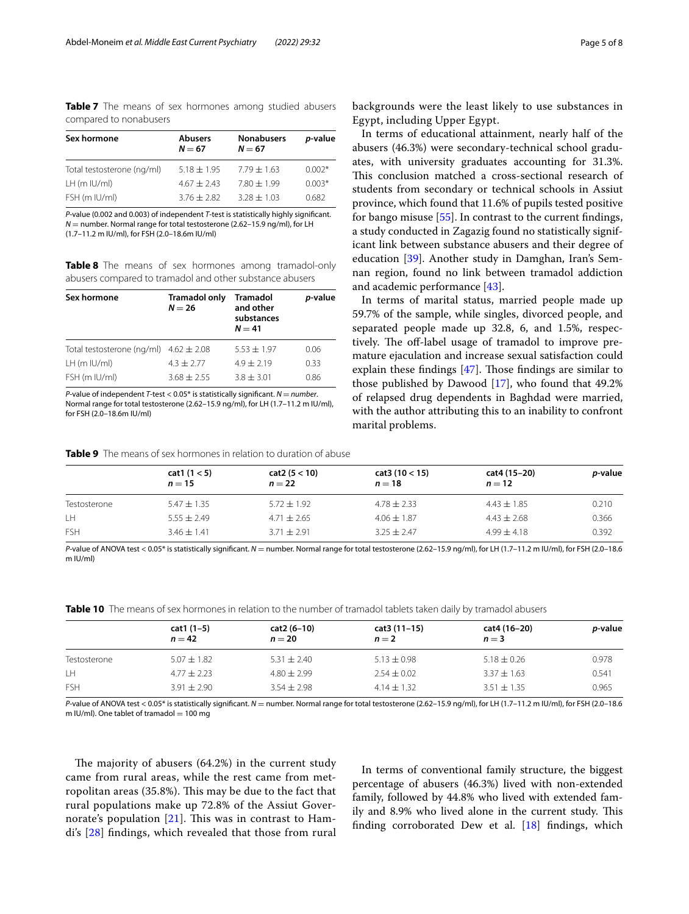<span id="page-4-0"></span>**Table 7** The means of sex hormones among studied abusers compared to nonabusers

| Sex hormone                | <b>Abusers</b><br>$N = 67$ | <b>Nonabusers</b><br>$N = 67$ | p-value  |
|----------------------------|----------------------------|-------------------------------|----------|
| Total testosterone (ng/ml) | $5.18 \pm 1.95$            | $7.79 \pm 1.63$               | $0.002*$ |
| $LH$ (m $ U/m $ )          | $4.67 + 2.43$              | $7.80 \pm 1.99$               | $0.003*$ |
| FSH (m IU/ml)              | $3.76 + 2.82$              | $3.28 \pm 1.03$               | 0.682    |

*P*-value (0.002 and 0.003) of independent *T*-test is statistically highly signifcant. *N* = number. Normal range for total testosterone (2.62-15.9 ng/ml), for LH (1.7–11.2 m IU/ml), for FSH (2.0–18.6m IU/ml)

<span id="page-4-1"></span>**Table 8** The means of sex hormones among tramadol-only abusers compared to tramadol and other substance abusers

| Sex hormone                                | <b>Tramadol only</b><br>$N = 26$ | <b>Tramadol</b><br>and other<br>substances<br>$N = 41$ | p-value |
|--------------------------------------------|----------------------------------|--------------------------------------------------------|---------|
| Total testosterone (ng/ml) $4.62 \pm 2.08$ |                                  | $5.53 + 1.97$                                          | 0.06    |
| $LH$ (m $ U/m $ )                          | $4.3 + 2.77$                     | $4.9 + 2.19$                                           | 0.33    |
| FSH (m IU/ml)                              | $3.68 + 2.55$                    | $3.8 + 3.01$                                           | 0.86    |

*P*-value of independent *T*-test < 0.05<sup>\*</sup> is statistically significant. *N* = *number*. Normal range for total testosterone (2.62–15.9 ng/ml), for LH (1.7–11.2 m IU/ml), for FSH (2.0–18.6m IU/ml)

backgrounds were the least likely to use substances in Egypt, including Upper Egypt.

In terms of educational attainment, nearly half of the abusers (46.3%) were secondary-technical school graduates, with university graduates accounting for 31.3%. This conclusion matched a cross-sectional research of students from secondary or technical schools in Assiut province, which found that 11.6% of pupils tested positive for bango misuse [\[55\]](#page-7-23). In contrast to the current fndings, a study conducted in Zagazig found no statistically significant link between substance abusers and their degree of education [\[39\]](#page-7-24). Another study in Damghan, Iran's Semnan region, found no link between tramadol addiction and academic performance [[43\]](#page-7-25).

In terms of marital status, married people made up 59.7% of the sample, while singles, divorced people, and separated people made up 32.8, 6, and 1.5%, respectively. The off-label usage of tramadol to improve premature ejaculation and increase sexual satisfaction could explain these findings  $[47]$  $[47]$ . Those findings are similar to those published by Dawood [[17\]](#page-7-26), who found that 49.2% of relapsed drug dependents in Baghdad were married, with the author attributing this to an inability to confront marital problems.

<span id="page-4-2"></span>**Table 9** The means of sex hormones in relation to duration of abuse

|              | cat1 (1 < 5)<br>$n = 15$ | cat2 (5 < 10)<br>$n=22$ | cat3(10 < 15)<br>$n=18$ | cat4 (15–20)<br>$n=12$ | <i>p</i> -value |
|--------------|--------------------------|-------------------------|-------------------------|------------------------|-----------------|
| Testosterone | $5.47 \pm 1.35$          | $5.72 \pm 1.92$         | $4.78 \pm 2.33$         | $4.43 \pm 1.85$        | 0.210           |
| LН           | $5.55 \pm 2.49$          | $4.71 \pm 2.65$         | $4.06 \pm 1.87$         | $4.43 \pm 2.68$        | 0.366           |
| <b>FSH</b>   | $3.46 \pm 1.41$          | $3.71 \pm 2.91$         | $3.25 \pm 2.47$         | $4.99 \pm 4.18$        | 0.392           |

*P*-value of ANOVA test < 0.05\* is statistically signifcant. *N* = number. Normal range for total testosterone (2.62–15.9 ng/ml), for LH (1.7–11.2 m IU/ml), for FSH (2.0–18.6 m IU/ml)

<span id="page-4-3"></span>**Table 10** The means of sex hormones in relation to the number of tramadol tablets taken daily by tramadol abusers

| cat1 (1–5)<br>$n = 42$ | cat2 (6-10)<br>$n = 20$ | cat3 (11–15)<br>$n=2$ | cat4 (16-20)<br>$n=3$ | <i>p</i> -value |
|------------------------|-------------------------|-----------------------|-----------------------|-----------------|
| $5.07 \pm 1.82$        | $5.31 \pm 2.40$         | $5.13 \pm 0.98$       | $5.18 \pm 0.26$       | 0.978           |
| $4.77 \pm 2.23$        | $4.80 \pm 2.99$         | $2.54 \pm 0.02$       | $3.37 \pm 1.63$       | 0.541           |
| $3.91 + 2.90$          | $3.54 + 2.98$           | $4.14 \pm 1.32$       | $3.51 + 1.35$         | 0.965           |
|                        |                         |                       |                       |                 |

*P*-value of ANOVA test < 0.05\* is statistically signifcant. *N* = number. Normal range for total testosterone (2.62–15.9 ng/ml), for LH (1.7–11.2 m IU/ml), for FSH (2.0–18.6 m IU/ml). One tablet of tramadol  $= 100$  mg

The majority of abusers  $(64.2%)$  in the current study came from rural areas, while the rest came from metropolitan areas (35.8%). This may be due to the fact that rural populations make up 72.8% of the Assiut Governorate's population  $[21]$  $[21]$ . This was in contrast to Hamdi's [[28\]](#page-7-16) fndings, which revealed that those from rural

In terms of conventional family structure, the biggest percentage of abusers (46.3%) lived with non-extended family, followed by 44.8% who lived with extended family and 8.9% who lived alone in the current study. This finding corroborated Dew et al.  $[18]$  $[18]$  findings, which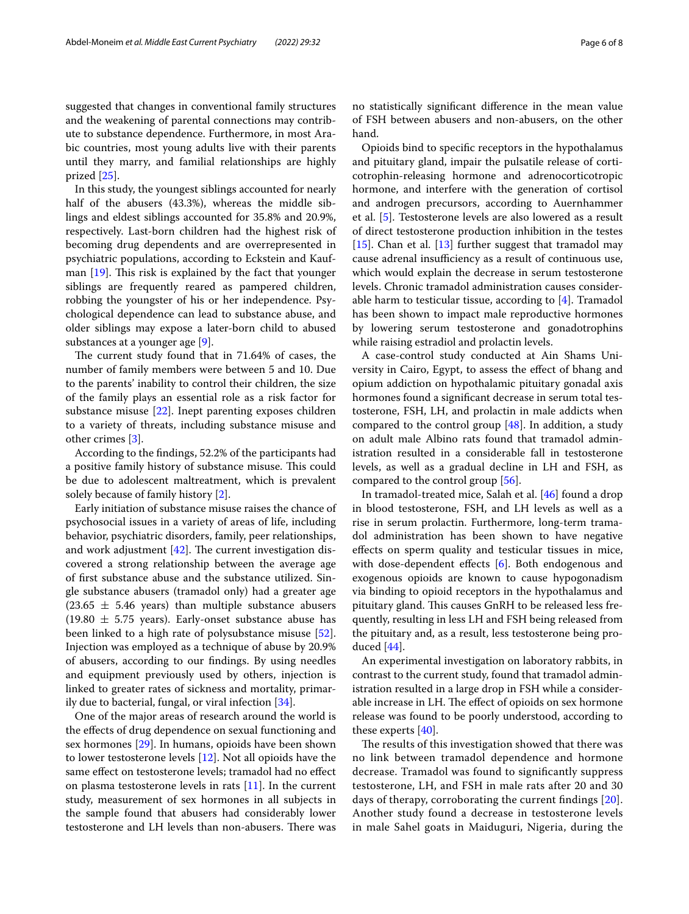suggested that changes in conventional family structures and the weakening of parental connections may contribute to substance dependence. Furthermore, in most Arabic countries, most young adults live with their parents until they marry, and familial relationships are highly prized [\[25](#page-7-28)].

In this study, the youngest siblings accounted for nearly half of the abusers (43.3%), whereas the middle siblings and eldest siblings accounted for 35.8% and 20.9%, respectively. Last-born children had the highest risk of becoming drug dependents and are overrepresented in psychiatric populations, according to Eckstein and Kaufman  $[19]$  $[19]$ . This risk is explained by the fact that younger siblings are frequently reared as pampered children, robbing the youngster of his or her independence. Psychological dependence can lead to substance abuse, and older siblings may expose a later-born child to abused substances at a younger age [\[9](#page-6-2)].

The current study found that in 71.64% of cases, the number of family members were between 5 and 10. Due to the parents' inability to control their children, the size of the family plays an essential role as a risk factor for substance misuse [\[22\]](#page-7-30). Inept parenting exposes children to a variety of threats, including substance misuse and other crimes [[3\]](#page-6-3).

According to the fndings, 52.2% of the participants had a positive family history of substance misuse. This could be due to adolescent maltreatment, which is prevalent solely because of family history [\[2\]](#page-6-4).

Early initiation of substance misuse raises the chance of psychosocial issues in a variety of areas of life, including behavior, psychiatric disorders, family, peer relationships, and work adjustment  $[42]$  $[42]$ . The current investigation discovered a strong relationship between the average age of frst substance abuse and the substance utilized. Single substance abusers (tramadol only) had a greater age  $(23.65 \pm 5.46 \text{ years})$  than multiple substance abusers  $(19.80 \pm 5.75 \text{ years})$ . Early-onset substance abuse has been linked to a high rate of polysubstance misuse [\[52](#page-7-32)]. Injection was employed as a technique of abuse by 20.9% of abusers, according to our fndings. By using needles and equipment previously used by others, injection is linked to greater rates of sickness and mortality, primarily due to bacterial, fungal, or viral infection [\[34](#page-7-33)].

One of the major areas of research around the world is the efects of drug dependence on sexual functioning and sex hormones [[29\]](#page-7-34). In humans, opioids have been shown to lower testosterone levels [[12](#page-7-35)]. Not all opioids have the same effect on testosterone levels; tramadol had no effect on plasma testosterone levels in rats [[11\]](#page-6-5). In the current study, measurement of sex hormones in all subjects in the sample found that abusers had considerably lower testosterone and LH levels than non-abusers. There was no statistically signifcant diference in the mean value of FSH between abusers and non-abusers, on the other hand.

Opioids bind to specifc receptors in the hypothalamus and pituitary gland, impair the pulsatile release of corticotrophin-releasing hormone and adrenocorticotropic hormone, and interfere with the generation of cortisol and androgen precursors, according to Auernhammer et al. [\[5](#page-6-6)]. Testosterone levels are also lowered as a result of direct testosterone production inhibition in the testes [[15\]](#page-7-36). Chan et al. [\[13\]](#page-7-37) further suggest that tramadol may cause adrenal insufficiency as a result of continuous use, which would explain the decrease in serum testosterone levels. Chronic tramadol administration causes considerable harm to testicular tissue, according to [[4\]](#page-6-7). Tramadol has been shown to impact male reproductive hormones by lowering serum testosterone and gonadotrophins while raising estradiol and prolactin levels.

A case-control study conducted at Ain Shams University in Cairo, Egypt, to assess the efect of bhang and opium addiction on hypothalamic pituitary gonadal axis hormones found a signifcant decrease in serum total testosterone, FSH, LH, and prolactin in male addicts when compared to the control group  $[48]$  $[48]$ . In addition, a study on adult male Albino rats found that tramadol administration resulted in a considerable fall in testosterone levels, as well as a gradual decline in LH and FSH, as compared to the control group [[56](#page-7-39)].

In tramadol-treated mice, Salah et al. [\[46](#page-7-1)] found a drop in blood testosterone, FSH, and LH levels as well as a rise in serum prolactin. Furthermore, long-term tramadol administration has been shown to have negative efects on sperm quality and testicular tissues in mice, with dose-dependent effects [\[6](#page-6-8)]. Both endogenous and exogenous opioids are known to cause hypogonadism via binding to opioid receptors in the hypothalamus and pituitary gland. This causes GnRH to be released less frequently, resulting in less LH and FSH being released from the pituitary and, as a result, less testosterone being produced [\[44\]](#page-7-40).

An experimental investigation on laboratory rabbits, in contrast to the current study, found that tramadol administration resulted in a large drop in FSH while a considerable increase in LH. The effect of opioids on sex hormone release was found to be poorly understood, according to these experts [[40\]](#page-7-6).

The results of this investigation showed that there was no link between tramadol dependence and hormone decrease. Tramadol was found to signifcantly suppress testosterone, LH, and FSH in male rats after 20 and 30 days of therapy, corroborating the current fndings [[20](#page-7-41)]. Another study found a decrease in testosterone levels in male Sahel goats in Maiduguri, Nigeria, during the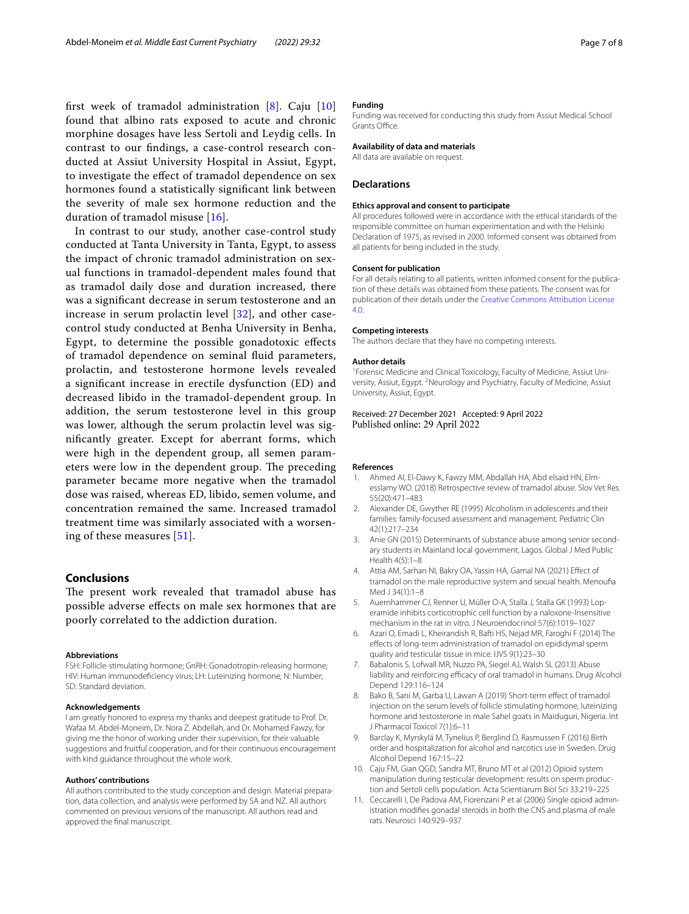first week of tramadol administration  $[8]$  $[8]$ . Caju  $[10]$  $[10]$ found that albino rats exposed to acute and chronic morphine dosages have less Sertoli and Leydig cells. In contrast to our fndings, a case-control research conducted at Assiut University Hospital in Assiut, Egypt, to investigate the efect of tramadol dependence on sex hormones found a statistically signifcant link between the severity of male sex hormone reduction and the duration of tramadol misuse [[16](#page-7-42)].

In contrast to our study, another case-control study conducted at Tanta University in Tanta, Egypt, to assess the impact of chronic tramadol administration on sexual functions in tramadol-dependent males found that as tramadol daily dose and duration increased, there was a signifcant decrease in serum testosterone and an increase in serum prolactin level [[32\]](#page-7-43), and other casecontrol study conducted at Benha University in Benha, Egypt, to determine the possible gonadotoxic efects of tramadol dependence on seminal fuid parameters, prolactin, and testosterone hormone levels revealed a signifcant increase in erectile dysfunction (ED) and decreased libido in the tramadol-dependent group. In addition, the serum testosterone level in this group was lower, although the serum prolactin level was signifcantly greater. Except for aberrant forms, which were high in the dependent group, all semen parameters were low in the dependent group. The preceding parameter became more negative when the tramadol dose was raised, whereas ED, libido, semen volume, and concentration remained the same. Increased tramadol treatment time was similarly associated with a worsening of these measures [[51](#page-7-44)].

## **Conclusions**

The present work revealed that tramadol abuse has possible adverse efects on male sex hormones that are poorly correlated to the addiction duration.

#### **Abbreviations**

FSH: Follicle-stimulating hormone; GnRH: Gonadotropin-releasing hormone; HIV: Human immunodefciency virus; LH: Luteinizing hormone; N: Number; SD: Standard deviation.

#### **Acknowledgements**

I am greatly honored to express my thanks and deepest gratitude to Prof. Dr. Wafaa M. Abdel-Moneim, Dr. Nora Z. Abdellah, and Dr. Mohamed Fawzy, for giving me the honor of working under their supervision, for their valuable suggestions and fruitful cooperation, and for their continuous encouragement with kind quidance throughout the whole work.

#### **Authors' contributions**

All authors contributed to the study conception and design. Material preparation, data collection, and analysis were performed by SA and NZ. All authors commented on previous versions of the manuscript. All authors read and approved the fnal manuscript.

## **Funding**

Funding was received for conducting this study from Assiut Medical School Grants Office.

## **Availability of data and materials**

All data are available on request.

### **Declarations**

#### **Ethics approval and consent to participate**

All procedures followed were in accordance with the ethical standards of the responsible committee on human experimentation and with the Helsinki Declaration of 1975, as revised in 2000. Informed consent was obtained from all patients for being included in the study.

#### **Consent for publication**

For all details relating to all patients, written informed consent for the publication of these details was obtained from these patients. The consent was for publication of their details under the [Creative Commons Attribution License](http://creativecommons.org/licenses/by/4.0)  [4.0](http://creativecommons.org/licenses/by/4.0).

#### **Competing interests**

The authors declare that they have no competing interests.

#### **Author details**

<sup>1</sup> Forensic Medicine and Clinical Toxicology, Faculty of Medicine, Assiut University, Assiut, Egypt. <sup>2</sup> Neurology and Psychiatry, Faculty of Medicine, Assiut University, Assiut, Egypt.

## Received: 27 December 2021 Accepted: 9 April 2022 Published online: 29 April 2022

### **References**

- <span id="page-6-1"></span>1. Ahmed AI, El-Dawy K, Fawzy MM, Abdallah HA, Abd elsaid HN, Elmesslamy WO. (2018) Retrospective review of tramadol abuse. Slov Vet Res. 55(20):471–483
- <span id="page-6-4"></span>2. Alexander DE, Gwyther RE (1995) Alcoholism in adolescents and their families: family-focused assessment and management. Pediatric Clin 42(1):217–234
- <span id="page-6-3"></span>3. Anie GN (2015) Determinants of substance abuse among senior secondary students in Mainland local government, Lagos. Global J Med Public Health 4(5):1–8
- <span id="page-6-7"></span>4. Attia AM, Sarhan NI, Bakry OA, Yassin HA, Gamal NA (2021) Efect of tramadol on the male reproductive system and sexual health. Menoufa Med J 34(1):1–8
- <span id="page-6-6"></span>5. Auernhammer CJ, Renner U, Müller O-A, Stalla J, Stalla GK (1993) Loperamide inhibits corticotrophic cell function by a naloxone-lnsensitive mechanism in the rat in vitro. J Neuroendocrinol 57(6):1019–1027
- <span id="page-6-8"></span>6. Azari O, Emadi L, Kheirandish R, Bafti HS, Nejad MR, Faroghi F (2014) The efects of long-term administration of tramadol on epididymal sperm quality and testicular tissue in mice. IJVS 9(1):23–30
- <span id="page-6-0"></span>7. Babalonis S, Lofwall MR, Nuzzo PA, Siegel AJ, Walsh SL (2013) Abuse liability and reinforcing efficacy of oral tramadol in humans. Drug Alcohol Depend 129:116–124
- <span id="page-6-9"></span>8. Bako B, Sani M, Garba U, Lawan A (2019) Short-term effect of tramadol injection on the serum levels of follicle stimulating hormone, luteinizing hormone and testosterone in male Sahel goats in Maiduguri, Nigeria. Int J Pharmacol Toxicol 7(1):6–11
- <span id="page-6-2"></span>9. Barclay K, Myrskylä M, Tynelius P, Berglind D, Rasmussen F (2016) Birth order and hospitalization for alcohol and narcotics use in Sweden. Drug Alcohol Depend 167:15–22
- <span id="page-6-10"></span>10. Caju FM, Gian QGD, Sandra MT, Bruno MT et al (2012) Opioid system manipulation during testicular development: results on sperm production and Sertoli cells population. Acta Scientiarum Biol Sci 33:219–225
- <span id="page-6-5"></span>11. Ceccarelli I, De Padova AM, Fiorenzani P et al (2006) Single opioid administration modifes gonadal steroids in both the CNS and plasma of male rats. Neurosci 140:929–937